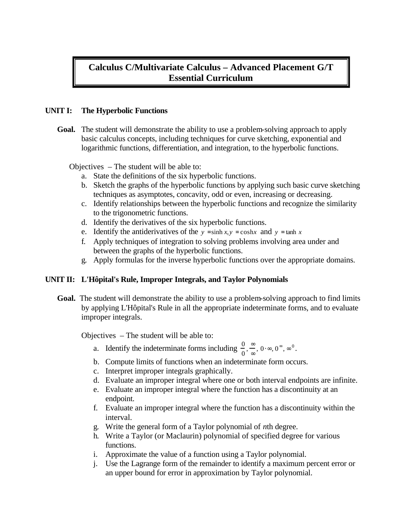# **Calculus C/Multivariate Calculus – Advanced Placement G/T Essential Curriculum**

# **UNIT I: The Hyperbolic Functions**

**Goal.** The student will demonstrate the ability to use a problem-solving approach to apply basic calculus concepts, including techniques for curve sketching, exponential and logarithmic functions, differentiation, and integration, to the hyperbolic functions.

Objectives – The student will be able to:

- a. State the definitions of the six hyperbolic functions.
- b. Sketch the graphs of the hyperbolic functions by applying such basic curve sketching techniques as asymptotes, concavity, odd or even, increasing or decreasing.
- c. Identify relationships between the hyperbolic functions and recognize the similarity to the trigonometric functions.
- d. Identify the derivatives of the six hyperbolic functions.
- e. Identify the antiderivatives of the  $y = \sinh x, y = \cosh x$  and  $y = \tanh x$
- f. Apply techniques of integration to solving problems involving area under and between the graphs of the hyperbolic functions.
- g. Apply formulas for the inverse hyperbolic functions over the appropriate domains.

# **UNIT II: L'Hôpital's Rule, Improper Integrals, and Taylor Polynomials**

**Goal.** The student will demonstrate the ability to use a problem-solving approach to find limits by applying L'Hôpital's Rule in all the appropriate indeterminate forms, and to evaluate improper integrals.

- a. Identify the indeterminate forms including  $\frac{0}{0}$ ,  $\frac{\infty}{\infty}$  $\sum_{\infty}^{\infty}$ ,  $0 \cdot \infty$ ,  $0^{\infty}$ ,  $\infty$ <sup>0</sup>.
- b. Compute limits of functions when an indeterminate form occurs.
- c. Interpret improper integrals graphically.
- d. Evaluate an improper integral where one or both interval endpoints are infinite.
- e. Evaluate an improper integral where the function has a discontinuity at an endpoint.
- f. Evaluate an improper integral where the function has a discontinuity within the interval.
- g. Write the general form of a Taylor polynomial of *n*th degree.
- h. Write a Taylor (or Maclaurin) polynomial of specified degree for various functions.
- i. Approximate the value of a function using a Taylor polynomial.
- j. Use the Lagrange form of the remainder to identify a maximum percent error or an upper bound for error in approximation by Taylor polynomial.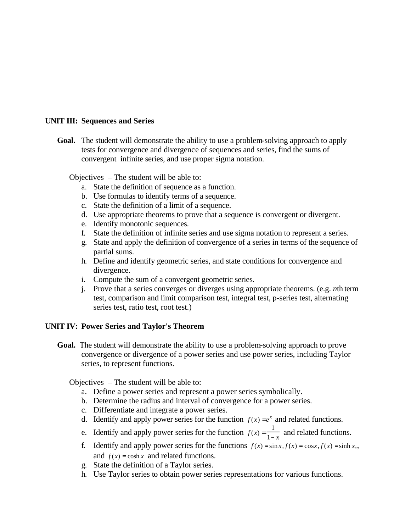## **UNIT III: Sequences and Series**

**Goal.** The student will demonstrate the ability to use a problem-solving approach to apply tests for convergence and divergence of sequences and series, find the sums of convergent infinite series, and use proper sigma notation.

Objectives – The student will be able to:

- a. State the definition of sequence as a function.
- b. Use formulas to identify terms of a sequence.
- c. State the definition of a limit of a sequence.
- d. Use appropriate theorems to prove that a sequence is convergent or divergent.
- e. Identify monotonic sequences.
- f. State the definition of infinite series and use sigma notation to represent a series.
- g. State and apply the definition of convergence of a series in terms of the sequence of partial sums.
- h. Define and identify geometric series, and state conditions for convergence and divergence.
- i. Compute the sum of a convergent geometric series.
- j. Prove that a series converges or diverges using appropriate theorems. (e.g. *n*th term test, comparison and limit comparison test, integral test, p-series test, alternating series test, ratio test, root test.)

#### **UNIT IV: Power Series and Taylor's Theorem**

**Goal.** The student will demonstrate the ability to use a problem-solving approach to prove convergence or divergence of a power series and use power series, including Taylor series, to represent functions.

- a. Define a power series and represent a power series symbolically.
- b. Determine the radius and interval of convergence for a power series.
- c. Differentiate and integrate a power series.
- d. Identify and apply power series for the function  $f(x) = e^x$  and related functions.
- e. Identify and apply power series for the function  $f(x) = \frac{1}{x}$  $\frac{1}{1-x}$  and related functions.
- f. Identify and apply power series for the functions  $f(x) = \sin x, f(x) = \cos x, f(x) = \sinh x$ , and  $f(x) = \cosh x$  and related functions.
- g. State the definition of a Taylor series.
- h. Use Taylor series to obtain power series representations for various functions.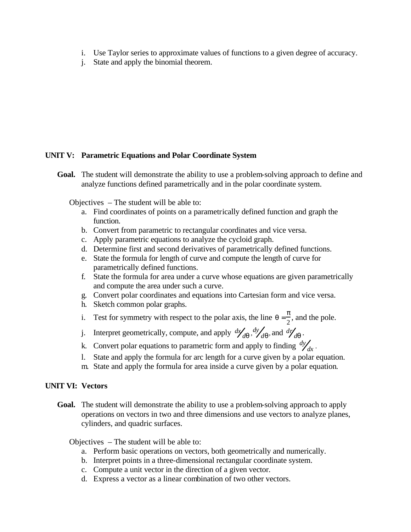- i. Use Taylor series to approximate values of functions to a given degree of accuracy.
- j. State and apply the binomial theorem.

# **UNIT V: Parametric Equations and Polar Coordinate System**

**Goal.** The student will demonstrate the ability to use a problem-solving approach to define and analyze functions defined parametrically and in the polar coordinate system.

Objectives – The student will be able to:

- a. Find coordinates of points on a parametrically defined function and graph the function.
- b. Convert from parametric to rectangular coordinates and vice versa.
- c. Apply parametric equations to analyze the cycloid graph.
- d. Determine first and second derivatives of parametrically defined functions.
- e. State the formula for length of curve and compute the length of curve for parametrically defined functions.
- f. State the formula for area under a curve whose equations are given parametrically and compute the area under such a curve.
- g. Convert polar coordinates and equations into Cartesian form and vice versa.
- h. Sketch common polar graphs.
- i. Test for symmetry with respect to the polar axis, the line  $q = \frac{\pi}{2}$  $\frac{\pi}{2}$ , and the pole.
- j. Interpret geometrically, compute, and apply  $\frac{dy}{dq}$ ,  $\frac{dy}{d}$  $d\mathbf{q}$ , and  $d\mathbf{r}_{d\mathbf{q}}'$ .
- k. Convert polar equations to parametric form and apply to finding  $\frac{dy}{dx}$ .
- l. State and apply the formula for arc length for a curve given by a polar equation.
- m. State and apply the formula for area inside a curve given by a polar equation.

## **UNIT VI: Vectors**

**Goal.** The student will demonstrate the ability to use a problem-solving approach to apply operations on vectors in two and three dimensions and use vectors to analyze planes, cylinders, and quadric surfaces.

- a. Perform basic operations on vectors, both geometrically and numerically.
- b. Interpret points in a three-dimensional rectangular coordinate system.
- c. Compute a unit vector in the direction of a given vector.
- d. Express a vector as a linear combination of two other vectors.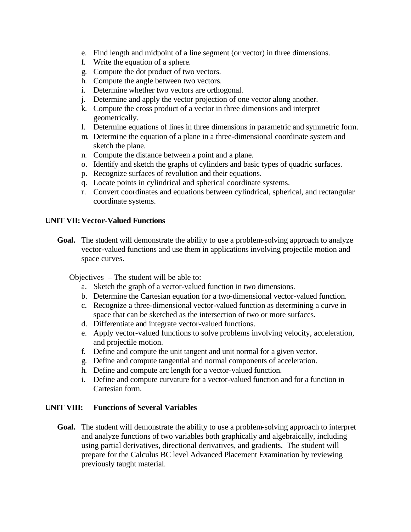- e. Find length and midpoint of a line segment (or vector) in three dimensions.
- f. Write the equation of a sphere.
- g. Compute the dot product of two vectors.
- h. Compute the angle between two vectors.
- i. Determine whether two vectors are orthogonal.
- j. Determine and apply the vector projection of one vector along another.
- k. Compute the cross product of a vector in three dimensions and interpret geometrically.
- l. Determine equations of lines in three dimensions in parametric and symmetric form.
- m. Determine the equation of a plane in a three-dimensional coordinate system and sketch the plane.
- n. Compute the distance between a point and a plane.
- o. Identify and sketch the graphs of cylinders and basic types of quadric surfaces.
- p. Recognize surfaces of revolution and their equations.
- q. Locate points in cylindrical and spherical coordinate systems.
- r. Convert coordinates and equations between cylindrical, spherical, and rectangular coordinate systems.

#### **UNIT VII:Vector-Valued Functions**

Goal. The student will demonstrate the ability to use a problem-solving approach to analyze vector-valued functions and use them in applications involving projectile motion and space curves.

Objectives – The student will be able to:

- a. Sketch the graph of a vector-valued function in two dimensions.
- b. Determine the Cartesian equation for a two-dimensional vector-valued function.
- c. Recognize a three-dimensional vector-valued function as determining a curve in space that can be sketched as the intersection of two or more surfaces.
- d. Differentiate and integrate vector-valued functions.
- e. Apply vector-valued functions to solve problems involving velocity, acceleration, and projectile motion.
- f. Define and compute the unit tangent and unit normal for a given vector.
- g. Define and compute tangential and normal components of acceleration.
- h. Define and compute arc length for a vector-valued function.
- i. Define and compute curvature for a vector-valued function and for a function in Cartesian form.

#### **UNIT VIII: Functions of Several Variables**

**Goal.** The student will demonstrate the ability to use a problem-solving approach to interpret and analyze functions of two variables both graphically and algebraically, including using partial derivatives, directional derivatives, and gradients. The student will prepare for the Calculus BC level Advanced Placement Examination by reviewing previously taught material.